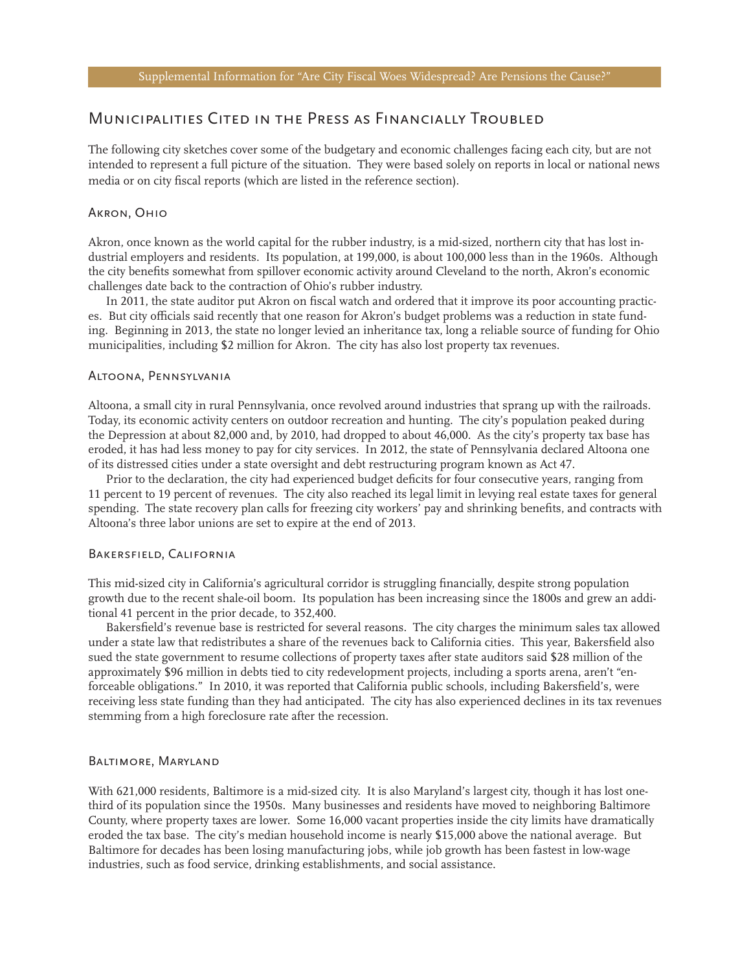# Municipalities Cited in the Press as Financially Troubled

The following city sketches cover some of the budgetary and economic challenges facing each city, but are not intended to represent a full picture of the situation. They were based solely on reports in local or national news media or on city fiscal reports (which are listed in the reference section).

# Akron, Ohio

Akron, once known as the world capital for the rubber industry, is a mid-sized, northern city that has lost industrial employers and residents. Its population, at 199,000, is about 100,000 less than in the 1960s. Although the city benefits somewhat from spillover economic activity around Cleveland to the north, Akron's economic challenges date back to the contraction of Ohio's rubber industry.

In 2011, the state auditor put Akron on fiscal watch and ordered that it improve its poor accounting practices. But city officials said recently that one reason for Akron's budget problems was a reduction in state funding. Beginning in 2013, the state no longer levied an inheritance tax, long a reliable source of funding for Ohio municipalities, including \$2 million for Akron. The city has also lost property tax revenues.

#### Altoona, Pennsylvania

Altoona, a small city in rural Pennsylvania, once revolved around industries that sprang up with the railroads. Today, its economic activity centers on outdoor recreation and hunting. The city's population peaked during the Depression at about 82,000 and, by 2010, had dropped to about 46,000. As the city's property tax base has eroded, it has had less money to pay for city services. In 2012, the state of Pennsylvania declared Altoona one of its distressed cities under a state oversight and debt restructuring program known as Act 47.

Prior to the declaration, the city had experienced budget deficits for four consecutive years, ranging from 11 percent to 19 percent of revenues. The city also reached its legal limit in levying real estate taxes for general spending. The state recovery plan calls for freezing city workers' pay and shrinking benefits, and contracts with Altoona's three labor unions are set to expire at the end of 2013.

# Bakersfield, California

This mid-sized city in California's agricultural corridor is struggling financially, despite strong population growth due to the recent shale-oil boom. Its population has been increasing since the 1800s and grew an additional 41 percent in the prior decade, to 352,400.

Bakersfield's revenue base is restricted for several reasons. The city charges the minimum sales tax allowed under a state law that redistributes a share of the revenues back to California cities. This year, Bakersfield also sued the state government to resume collections of property taxes after state auditors said \$28 million of the approximately \$96 million in debts tied to city redevelopment projects, including a sports arena, aren't "enforceable obligations." In 2010, it was reported that California public schools, including Bakersfield's, were receiving less state funding than they had anticipated. The city has also experienced declines in its tax revenues stemming from a high foreclosure rate after the recession.

# Baltimore, Maryland

With 621,000 residents, Baltimore is a mid-sized city. It is also Maryland's largest city, though it has lost onethird of its population since the 1950s. Many businesses and residents have moved to neighboring Baltimore County, where property taxes are lower. Some 16,000 vacant properties inside the city limits have dramatically eroded the tax base. The city's median household income is nearly \$15,000 above the national average. But Baltimore for decades has been losing manufacturing jobs, while job growth has been fastest in low-wage industries, such as food service, drinking establishments, and social assistance.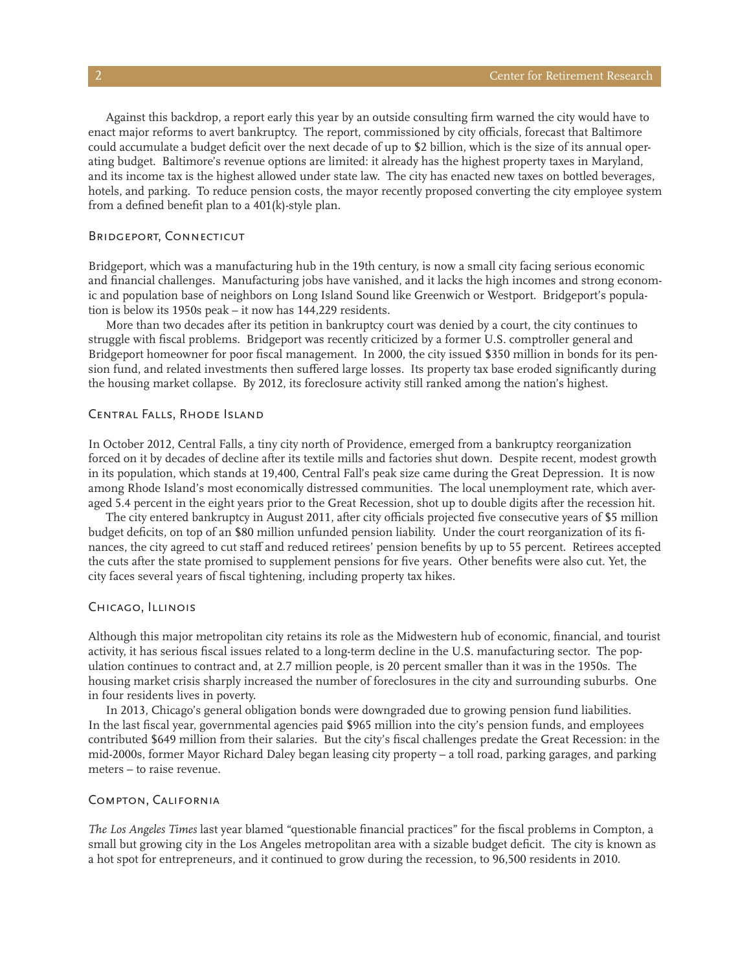Against this backdrop, a report early this year by an outside consulting firm warned the city would have to enact major reforms to avert bankruptcy. The report, commissioned by city officials, forecast that Baltimore could accumulate a budget deficit over the next decade of up to \$2 billion, which is the size of its annual operating budget. Baltimore's revenue options are limited: it already has the highest property taxes in Maryland, and its income tax is the highest allowed under state law. The city has enacted new taxes on bottled beverages, hotels, and parking. To reduce pension costs, the mayor recently proposed converting the city employee system from a defined benefit plan to a 401(k)-style plan.

# Bridgeport, Connecticut

Bridgeport, which was a manufacturing hub in the 19th century, is now a small city facing serious economic and financial challenges. Manufacturing jobs have vanished, and it lacks the high incomes and strong economic and population base of neighbors on Long Island Sound like Greenwich or Westport. Bridgeport's population is below its 1950s peak – it now has 144,229 residents.

More than two decades after its petition in bankruptcy court was denied by a court, the city continues to struggle with fiscal problems. Bridgeport was recently criticized by a former U.S. comptroller general and Bridgeport homeowner for poor fiscal management. In 2000, the city issued \$350 million in bonds for its pension fund, and related investments then suffered large losses. Its property tax base eroded significantly during the housing market collapse. By 2012, its foreclosure activity still ranked among the nation's highest.

#### Central Falls, Rhode Island

In October 2012, Central Falls, a tiny city north of Providence, emerged from a bankruptcy reorganization forced on it by decades of decline after its textile mills and factories shut down. Despite recent, modest growth in its population, which stands at 19,400, Central Fall's peak size came during the Great Depression. It is now among Rhode Island's most economically distressed communities. The local unemployment rate, which averaged 5.4 percent in the eight years prior to the Great Recession, shot up to double digits after the recession hit.

The city entered bankruptcy in August 2011, after city officials projected five consecutive years of \$5 million budget deficits, on top of an \$80 million unfunded pension liability. Under the court reorganization of its finances, the city agreed to cut staff and reduced retirees' pension benefits by up to 55 percent. Retirees accepted the cuts after the state promised to supplement pensions for five years. Other benefits were also cut. Yet, the city faces several years of fiscal tightening, including property tax hikes.

# Chicago, Illinois

Although this major metropolitan city retains its role as the Midwestern hub of economic, financial, and tourist activity, it has serious fiscal issues related to a long-term decline in the U.S. manufacturing sector. The population continues to contract and, at 2.7 million people, is 20 percent smaller than it was in the 1950s. The housing market crisis sharply increased the number of foreclosures in the city and surrounding suburbs. One in four residents lives in poverty.

In 2013, Chicago's general obligation bonds were downgraded due to growing pension fund liabilities. In the last fiscal year, governmental agencies paid \$965 million into the city's pension funds, and employees contributed \$649 million from their salaries. But the city's fiscal challenges predate the Great Recession: in the mid-2000s, former Mayor Richard Daley began leasing city property – a toll road, parking garages, and parking meters – to raise revenue.

### Compton, California

*The Los Angeles Times* last year blamed "questionable financial practices" for the fiscal problems in Compton, a small but growing city in the Los Angeles metropolitan area with a sizable budget deficit. The city is known as a hot spot for entrepreneurs, and it continued to grow during the recession, to 96,500 residents in 2010.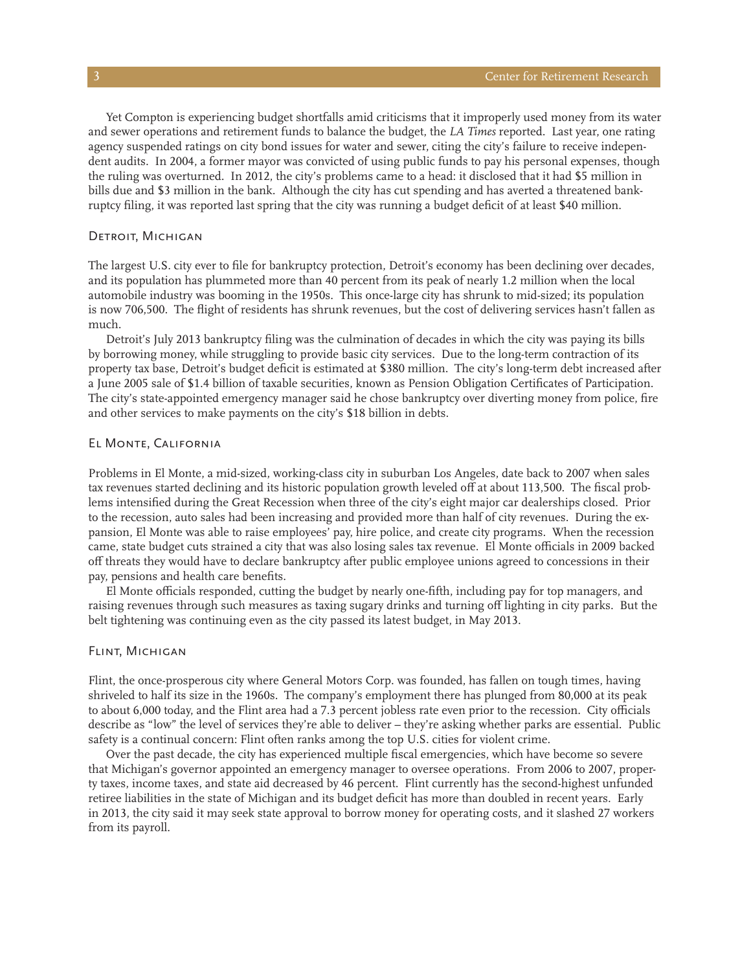Yet Compton is experiencing budget shortfalls amid criticisms that it improperly used money from its water and sewer operations and retirement funds to balance the budget, the *LA Times* reported. Last year, one rating agency suspended ratings on city bond issues for water and sewer, citing the city's failure to receive independent audits. In 2004, a former mayor was convicted of using public funds to pay his personal expenses, though the ruling was overturned. In 2012, the city's problems came to a head: it disclosed that it had \$5 million in bills due and \$3 million in the bank. Although the city has cut spending and has averted a threatened bankruptcy filing, it was reported last spring that the city was running a budget deficit of at least \$40 million.

### DETROIT, MICHIGAN

The largest U.S. city ever to file for bankruptcy protection, Detroit's economy has been declining over decades, and its population has plummeted more than 40 percent from its peak of nearly 1.2 million when the local automobile industry was booming in the 1950s. This once-large city has shrunk to mid-sized; its population is now 706,500. The flight of residents has shrunk revenues, but the cost of delivering services hasn't fallen as much.

Detroit's July 2013 bankruptcy filing was the culmination of decades in which the city was paying its bills by borrowing money, while struggling to provide basic city services. Due to the long-term contraction of its property tax base, Detroit's budget deficit is estimated at \$380 million. The city's long-term debt increased after a June 2005 sale of \$1.4 billion of taxable securities, known as Pension Obligation Certificates of Participation. The city's state-appointed emergency manager said he chose bankruptcy over diverting money from police, fire and other services to make payments on the city's \$18 billion in debts.

# El Monte, California

Problems in El Monte, a mid-sized, working-class city in suburban Los Angeles, date back to 2007 when sales tax revenues started declining and its historic population growth leveled off at about 113,500. The fiscal problems intensified during the Great Recession when three of the city's eight major car dealerships closed. Prior to the recession, auto sales had been increasing and provided more than half of city revenues. During the expansion, El Monte was able to raise employees' pay, hire police, and create city programs. When the recession came, state budget cuts strained a city that was also losing sales tax revenue. El Monte officials in 2009 backed off threats they would have to declare bankruptcy after public employee unions agreed to concessions in their pay, pensions and health care benefits.

El Monte officials responded, cutting the budget by nearly one-fifth, including pay for top managers, and raising revenues through such measures as taxing sugary drinks and turning off lighting in city parks. But the belt tightening was continuing even as the city passed its latest budget, in May 2013.

## Flint, Michigan

Flint, the once-prosperous city where General Motors Corp. was founded, has fallen on tough times, having shriveled to half its size in the 1960s. The company's employment there has plunged from 80,000 at its peak to about 6,000 today, and the Flint area had a 7.3 percent jobless rate even prior to the recession. City officials describe as "low" the level of services they're able to deliver – they're asking whether parks are essential. Public safety is a continual concern: Flint often ranks among the top U.S. cities for violent crime.

Over the past decade, the city has experienced multiple fiscal emergencies, which have become so severe that Michigan's governor appointed an emergency manager to oversee operations. From 2006 to 2007, property taxes, income taxes, and state aid decreased by 46 percent. Flint currently has the second-highest unfunded retiree liabilities in the state of Michigan and its budget deficit has more than doubled in recent years. Early in 2013, the city said it may seek state approval to borrow money for operating costs, and it slashed 27 workers from its payroll.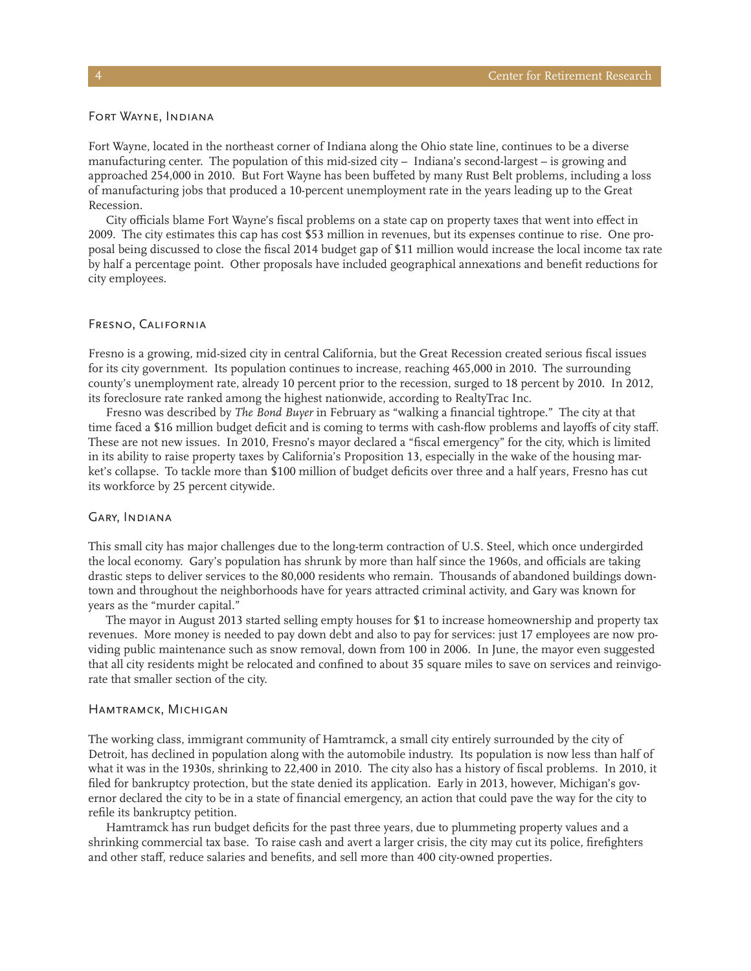# Fort Wayne, Indiana

Fort Wayne, located in the northeast corner of Indiana along the Ohio state line, continues to be a diverse manufacturing center. The population of this mid-sized city – Indiana's second-largest – is growing and approached 254,000 in 2010. But Fort Wayne has been buffeted by many Rust Belt problems, including a loss of manufacturing jobs that produced a 10-percent unemployment rate in the years leading up to the Great Recession.

City officials blame Fort Wayne's fiscal problems on a state cap on property taxes that went into effect in 2009. The city estimates this cap has cost \$53 million in revenues, but its expenses continue to rise. One proposal being discussed to close the fiscal 2014 budget gap of \$11 million would increase the local income tax rate by half a percentage point. Other proposals have included geographical annexations and benefit reductions for city employees.

## Fresno, California

Fresno is a growing, mid-sized city in central California, but the Great Recession created serious fiscal issues for its city government. Its population continues to increase, reaching 465,000 in 2010. The surrounding county's unemployment rate, already 10 percent prior to the recession, surged to 18 percent by 2010. In 2012, its foreclosure rate ranked among the highest nationwide, according to RealtyTrac Inc.

Fresno was described by *The Bond Buyer* in February as "walking a financial tightrope." The city at that time faced a \$16 million budget deficit and is coming to terms with cash-flow problems and layoffs of city staff. These are not new issues. In 2010, Fresno's mayor declared a "fiscal emergency" for the city, which is limited in its ability to raise property taxes by California's Proposition 13, especially in the wake of the housing market's collapse. To tackle more than \$100 million of budget deficits over three and a half years, Fresno has cut its workforce by 25 percent citywide.

# Gary, Indiana

This small city has major challenges due to the long-term contraction of U.S. Steel, which once undergirded the local economy. Gary's population has shrunk by more than half since the 1960s, and officials are taking drastic steps to deliver services to the 80,000 residents who remain. Thousands of abandoned buildings downtown and throughout the neighborhoods have for years attracted criminal activity, and Gary was known for years as the "murder capital."

The mayor in August 2013 started selling empty houses for \$1 to increase homeownership and property tax revenues. More money is needed to pay down debt and also to pay for services: just 17 employees are now providing public maintenance such as snow removal, down from 100 in 2006. In June, the mayor even suggested that all city residents might be relocated and confined to about 35 square miles to save on services and reinvigorate that smaller section of the city.

### Hamtramck, Michigan

The working class, immigrant community of Hamtramck, a small city entirely surrounded by the city of Detroit, has declined in population along with the automobile industry. Its population is now less than half of what it was in the 1930s, shrinking to 22,400 in 2010. The city also has a history of fiscal problems. In 2010, it filed for bankruptcy protection, but the state denied its application. Early in 2013, however, Michigan's governor declared the city to be in a state of financial emergency, an action that could pave the way for the city to refile its bankruptcy petition.

Hamtramck has run budget deficits for the past three years, due to plummeting property values and a shrinking commercial tax base. To raise cash and avert a larger crisis, the city may cut its police, firefighters and other staff, reduce salaries and benefits, and sell more than 400 city-owned properties.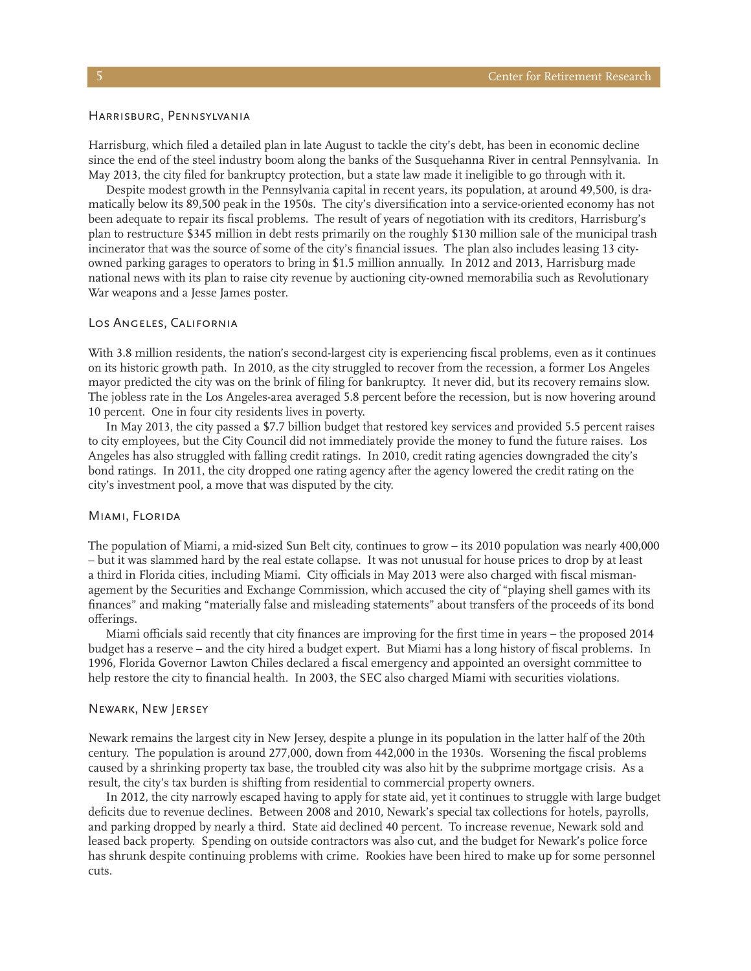#### Harrisburg, Pennsylvania

Harrisburg, which filed a detailed plan in late August to tackle the city's debt, has been in economic decline since the end of the steel industry boom along the banks of the Susquehanna River in central Pennsylvania. In May 2013, the city filed for bankruptcy protection, but a state law made it ineligible to go through with it.

Despite modest growth in the Pennsylvania capital in recent years, its population, at around 49,500, is dramatically below its 89,500 peak in the 1950s. The city's diversification into a service-oriented economy has not been adequate to repair its fiscal problems. The result of years of negotiation with its creditors, Harrisburg's plan to restructure \$345 million in debt rests primarily on the roughly \$130 million sale of the municipal trash incinerator that was the source of some of the city's financial issues. The plan also includes leasing 13 cityowned parking garages to operators to bring in \$1.5 million annually. In 2012 and 2013, Harrisburg made national news with its plan to raise city revenue by auctioning city-owned memorabilia such as Revolutionary War weapons and a Jesse James poster.

### Los Angeles, California

With 3.8 million residents, the nation's second-largest city is experiencing fiscal problems, even as it continues on its historic growth path. In 2010, as the city struggled to recover from the recession, a former Los Angeles mayor predicted the city was on the brink of filing for bankruptcy. It never did, but its recovery remains slow. The jobless rate in the Los Angeles-area averaged 5.8 percent before the recession, but is now hovering around 10 percent. One in four city residents lives in poverty.

In May 2013, the city passed a \$7.7 billion budget that restored key services and provided 5.5 percent raises to city employees, but the City Council did not immediately provide the money to fund the future raises. Los Angeles has also struggled with falling credit ratings. In 2010, credit rating agencies downgraded the city's bond ratings. In 2011, the city dropped one rating agency after the agency lowered the credit rating on the city's investment pool, a move that was disputed by the city.

# Miami, Florida

The population of Miami, a mid-sized Sun Belt city, continues to grow – its 2010 population was nearly 400,000 – but it was slammed hard by the real estate collapse. It was not unusual for house prices to drop by at least a third in Florida cities, including Miami. City officials in May 2013 were also charged with fiscal mismanagement by the Securities and Exchange Commission, which accused the city of "playing shell games with its finances" and making "materially false and misleading statements" about transfers of the proceeds of its bond offerings.

Miami officials said recently that city finances are improving for the first time in years – the proposed 2014 budget has a reserve – and the city hired a budget expert. But Miami has a long history of fiscal problems. In 1996, Florida Governor Lawton Chiles declared a fiscal emergency and appointed an oversight committee to help restore the city to financial health. In 2003, the SEC also charged Miami with securities violations.

### Newark, New Jersey

Newark remains the largest city in New Jersey, despite a plunge in its population in the latter half of the 20th century. The population is around 277,000, down from 442,000 in the 1930s. Worsening the fiscal problems caused by a shrinking property tax base, the troubled city was also hit by the subprime mortgage crisis. As a result, the city's tax burden is shifting from residential to commercial property owners.

In 2012, the city narrowly escaped having to apply for state aid, yet it continues to struggle with large budget deficits due to revenue declines. Between 2008 and 2010, Newark's special tax collections for hotels, payrolls, and parking dropped by nearly a third. State aid declined 40 percent. To increase revenue, Newark sold and leased back property. Spending on outside contractors was also cut, and the budget for Newark's police force has shrunk despite continuing problems with crime. Rookies have been hired to make up for some personnel cuts.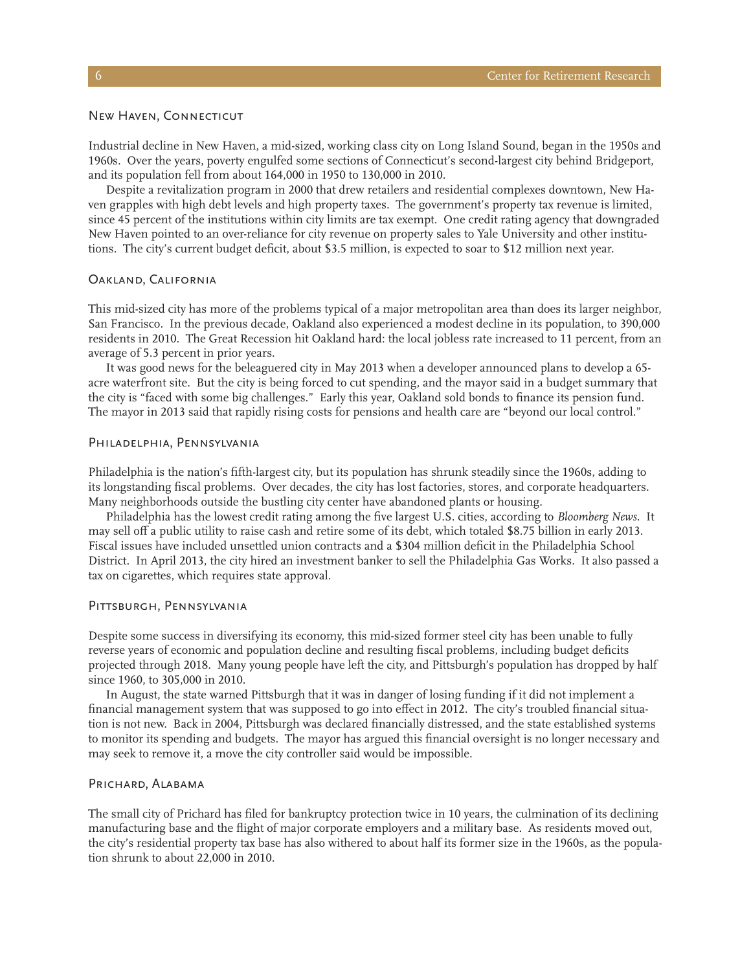### New Haven, Connecticut

Industrial decline in New Haven, a mid-sized, working class city on Long Island Sound, began in the 1950s and 1960s. Over the years, poverty engulfed some sections of Connecticut's second-largest city behind Bridgeport, and its population fell from about 164,000 in 1950 to 130,000 in 2010.

Despite a revitalization program in 2000 that drew retailers and residential complexes downtown, New Haven grapples with high debt levels and high property taxes. The government's property tax revenue is limited, since 45 percent of the institutions within city limits are tax exempt. One credit rating agency that downgraded New Haven pointed to an over-reliance for city revenue on property sales to Yale University and other institutions. The city's current budget deficit, about \$3.5 million, is expected to soar to \$12 million next year.

# Oakland, California

This mid-sized city has more of the problems typical of a major metropolitan area than does its larger neighbor, San Francisco. In the previous decade, Oakland also experienced a modest decline in its population, to 390,000 residents in 2010. The Great Recession hit Oakland hard: the local jobless rate increased to 11 percent, from an average of 5.3 percent in prior years.

It was good news for the beleaguered city in May 2013 when a developer announced plans to develop a 65 acre waterfront site. But the city is being forced to cut spending, and the mayor said in a budget summary that the city is "faced with some big challenges." Early this year, Oakland sold bonds to finance its pension fund. The mayor in 2013 said that rapidly rising costs for pensions and health care are "beyond our local control."

# Philadelphia, Pennsylvania

Philadelphia is the nation's fifth-largest city, but its population has shrunk steadily since the 1960s, adding to its longstanding fiscal problems. Over decades, the city has lost factories, stores, and corporate headquarters. Many neighborhoods outside the bustling city center have abandoned plants or housing.

Philadelphia has the lowest credit rating among the five largest U.S. cities, according to *Bloomberg News*. It may sell off a public utility to raise cash and retire some of its debt, which totaled \$8.75 billion in early 2013. Fiscal issues have included unsettled union contracts and a \$304 million deficit in the Philadelphia School District. In April 2013, the city hired an investment banker to sell the Philadelphia Gas Works. It also passed a tax on cigarettes, which requires state approval.

# PITTSBURGH, PENNSYLVANIA

Despite some success in diversifying its economy, this mid-sized former steel city has been unable to fully reverse years of economic and population decline and resulting fiscal problems, including budget deficits projected through 2018. Many young people have left the city, and Pittsburgh's population has dropped by half since 1960, to 305,000 in 2010.

In August, the state warned Pittsburgh that it was in danger of losing funding if it did not implement a financial management system that was supposed to go into effect in 2012. The city's troubled financial situation is not new. Back in 2004, Pittsburgh was declared financially distressed, and the state established systems to monitor its spending and budgets. The mayor has argued this financial oversight is no longer necessary and may seek to remove it, a move the city controller said would be impossible.

### PRICHARD, ALABAMA

The small city of Prichard has filed for bankruptcy protection twice in 10 years, the culmination of its declining manufacturing base and the flight of major corporate employers and a military base. As residents moved out, the city's residential property tax base has also withered to about half its former size in the 1960s, as the population shrunk to about 22,000 in 2010.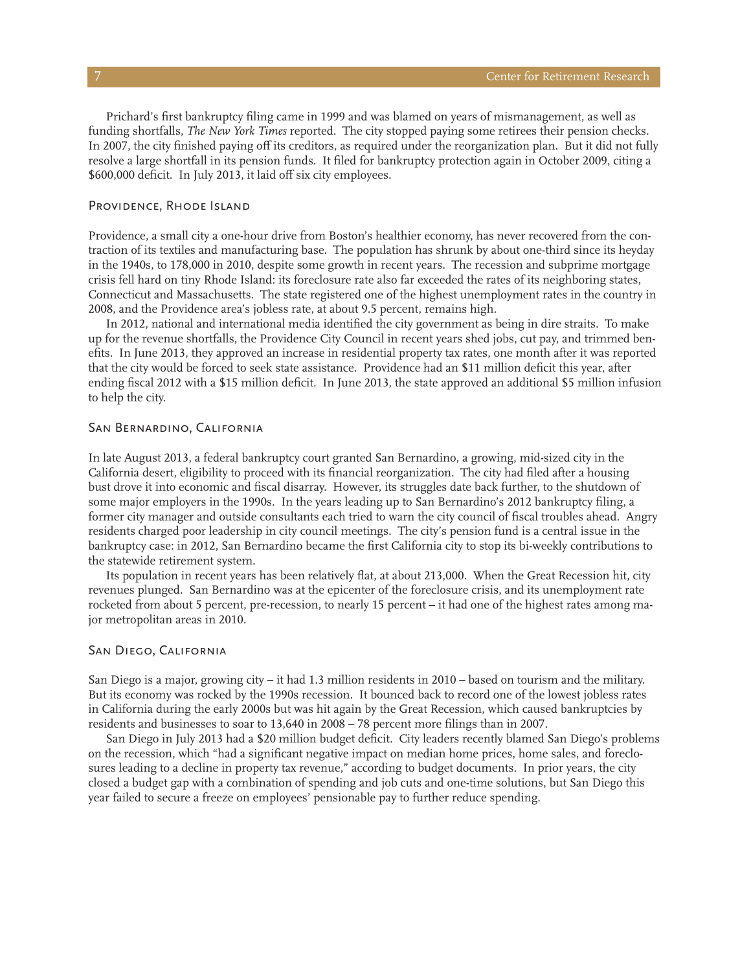Prichard's first bankruptcy filing came in 1999 and was blamed on years of mismanagement, as well as funding shortfalls, *The New York Times* reported. The city stopped paying some retirees their pension checks. In 2007, the city finished paying off its creditors, as required under the reorganization plan. But it did not fully resolve a large shortfall in its pension funds. It filed for bankruptcy protection again in October 2009, citing a \$600,000 deficit. In July 2013, it laid off six city employees.

# PROVIDENCE, RHODE ISLAND

Providence, a small city a one-hour drive from Boston's healthier economy, has never recovered from the contraction of its textiles and manufacturing base. The population has shrunk by about one-third since its heyday in the 1940s, to 178,000 in 2010, despite some growth in recent years. The recession and subprime mortgage crisis fell hard on tiny Rhode Island: its foreclosure rate also far exceeded the rates of its neighboring states, Connecticut and Massachusetts. The state registered one of the highest unemployment rates in the country in 2008, and the Providence area's jobless rate, at about 9.5 percent, remains high.

In 2012, national and international media identified the city government as being in dire straits. To make up for the revenue shortfalls, the Providence City Council in recent years shed jobs, cut pay, and trimmed benefits. In June 2013, they approved an increase in residential property tax rates, one month after it was reported that the city would be forced to seek state assistance. Providence had an \$11 million deficit this year, after ending fiscal 2012 with a \$15 million deficit. In June 2013, the state approved an additional \$5 million infusion to help the city.

# San Bernardino, California

In late August 2013, a federal bankruptcy court granted San Bernardino, a growing, mid-sized city in the California desert, eligibility to proceed with its financial reorganization. The city had filed after a housing bust drove it into economic and fiscal disarray. However, its struggles date back further, to the shutdown of some major employers in the 1990s. In the years leading up to San Bernardino's 2012 bankruptcy filing, a former city manager and outside consultants each tried to warn the city council of fiscal troubles ahead. Angry residents charged poor leadership in city council meetings. The city's pension fund is a central issue in the bankruptcy case: in 2012, San Bernardino became the first California city to stop its bi-weekly contributions to the statewide retirement system.

Its population in recent years has been relatively flat, at about 213,000. When the Great Recession hit, city revenues plunged. San Bernardino was at the epicenter of the foreclosure crisis, and its unemployment rate rocketed from about 5 percent, pre-recession, to nearly 15 percent – it had one of the highest rates among major metropolitan areas in 2010.

## San Diego, California

San Diego is a major, growing city – it had 1.3 million residents in 2010 – based on tourism and the military. But its economy was rocked by the 1990s recession. It bounced back to record one of the lowest jobless rates in California during the early 2000s but was hit again by the Great Recession, which caused bankruptcies by residents and businesses to soar to 13,640 in 2008 – 78 percent more filings than in 2007.

San Diego in July 2013 had a \$20 million budget deficit. City leaders recently blamed San Diego's problems on the recession, which "had a significant negative impact on median home prices, home sales, and foreclosures leading to a decline in property tax revenue," according to budget documents. In prior years, the city closed a budget gap with a combination of spending and job cuts and one-time solutions, but San Diego this year failed to secure a freeze on employees' pensionable pay to further reduce spending.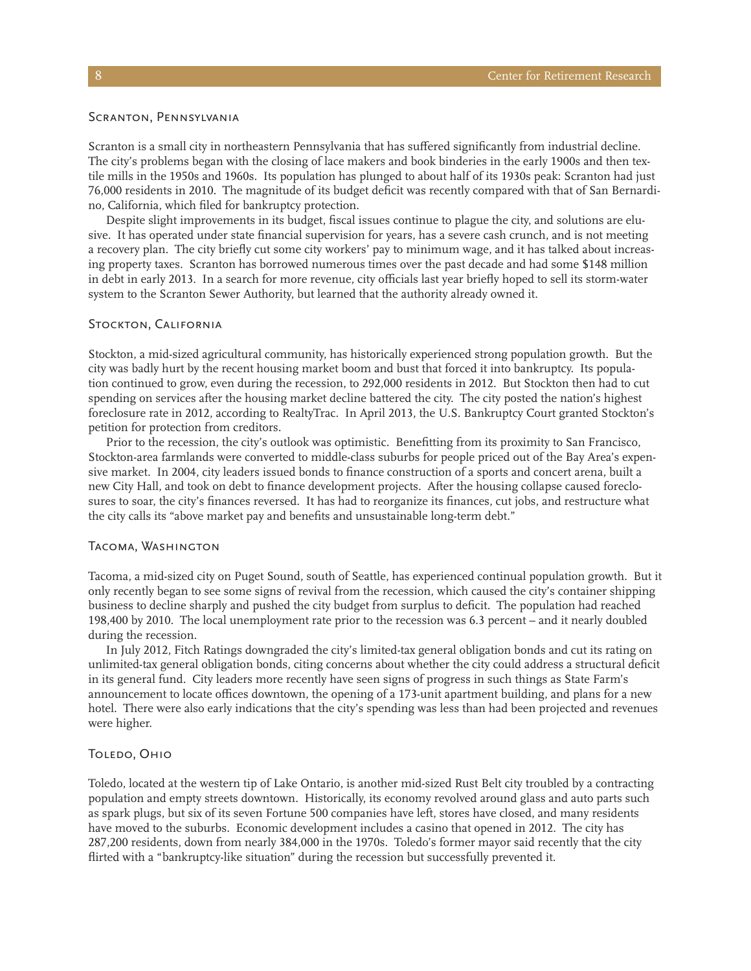# Scranton, Pennsylvania

Scranton is a small city in northeastern Pennsylvania that has suffered significantly from industrial decline. The city's problems began with the closing of lace makers and book binderies in the early 1900s and then textile mills in the 1950s and 1960s. Its population has plunged to about half of its 1930s peak: Scranton had just 76,000 residents in 2010. The magnitude of its budget deficit was recently compared with that of San Bernardino, California, which filed for bankruptcy protection.

Despite slight improvements in its budget, fiscal issues continue to plague the city, and solutions are elusive. It has operated under state financial supervision for years, has a severe cash crunch, and is not meeting a recovery plan. The city briefly cut some city workers' pay to minimum wage, and it has talked about increasing property taxes. Scranton has borrowed numerous times over the past decade and had some \$148 million in debt in early 2013. In a search for more revenue, city officials last year briefly hoped to sell its storm-water system to the Scranton Sewer Authority, but learned that the authority already owned it.

# Stockton, California

Stockton, a mid-sized agricultural community, has historically experienced strong population growth. But the city was badly hurt by the recent housing market boom and bust that forced it into bankruptcy. Its population continued to grow, even during the recession, to 292,000 residents in 2012. But Stockton then had to cut spending on services after the housing market decline battered the city. The city posted the nation's highest foreclosure rate in 2012, according to RealtyTrac. In April 2013, the U.S. Bankruptcy Court granted Stockton's petition for protection from creditors.

Prior to the recession, the city's outlook was optimistic. Benefitting from its proximity to San Francisco, Stockton-area farmlands were converted to middle-class suburbs for people priced out of the Bay Area's expensive market. In 2004, city leaders issued bonds to finance construction of a sports and concert arena, built a new City Hall, and took on debt to finance development projects. After the housing collapse caused foreclosures to soar, the city's finances reversed. It has had to reorganize its finances, cut jobs, and restructure what the city calls its "above market pay and benefits and unsustainable long-term debt."

# Tacoma, Washington

Tacoma, a mid-sized city on Puget Sound, south of Seattle, has experienced continual population growth. But it only recently began to see some signs of revival from the recession, which caused the city's container shipping business to decline sharply and pushed the city budget from surplus to deficit. The population had reached 198,400 by 2010. The local unemployment rate prior to the recession was 6.3 percent – and it nearly doubled during the recession.

In July 2012, Fitch Ratings downgraded the city's limited-tax general obligation bonds and cut its rating on unlimited-tax general obligation bonds, citing concerns about whether the city could address a structural deficit in its general fund. City leaders more recently have seen signs of progress in such things as State Farm's announcement to locate offices downtown, the opening of a 173-unit apartment building, and plans for a new hotel. There were also early indications that the city's spending was less than had been projected and revenues were higher.

# TOLEDO, OHIO

Toledo, located at the western tip of Lake Ontario, is another mid-sized Rust Belt city troubled by a contracting population and empty streets downtown. Historically, its economy revolved around glass and auto parts such as spark plugs, but six of its seven Fortune 500 companies have left, stores have closed, and many residents have moved to the suburbs. Economic development includes a casino that opened in 2012. The city has 287,200 residents, down from nearly 384,000 in the 1970s. Toledo's former mayor said recently that the city flirted with a "bankruptcy-like situation" during the recession but successfully prevented it.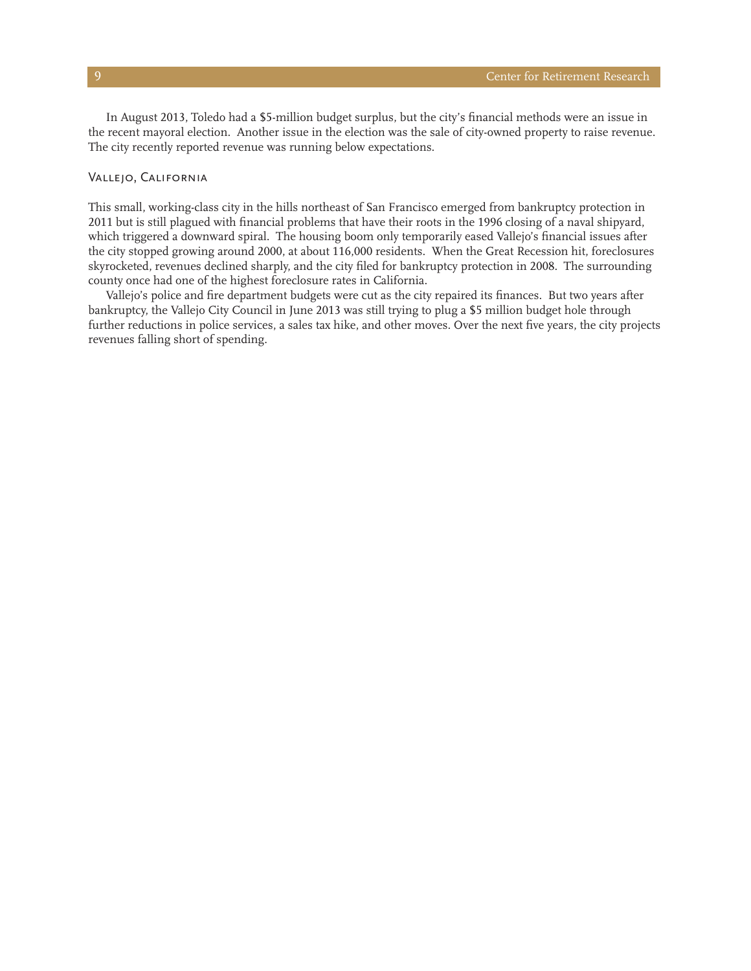In August 2013, Toledo had a \$5-million budget surplus, but the city's financial methods were an issue in the recent mayoral election. Another issue in the election was the sale of city-owned property to raise revenue. The city recently reported revenue was running below expectations.

# Vallejo, California

This small, working-class city in the hills northeast of San Francisco emerged from bankruptcy protection in 2011 but is still plagued with financial problems that have their roots in the 1996 closing of a naval shipyard, which triggered a downward spiral. The housing boom only temporarily eased Vallejo's financial issues after the city stopped growing around 2000, at about 116,000 residents. When the Great Recession hit, foreclosures skyrocketed, revenues declined sharply, and the city filed for bankruptcy protection in 2008. The surrounding county once had one of the highest foreclosure rates in California.

Vallejo's police and fire department budgets were cut as the city repaired its finances. But two years after bankruptcy, the Vallejo City Council in June 2013 was still trying to plug a \$5 million budget hole through further reductions in police services, a sales tax hike, and other moves. Over the next five years, the city projects revenues falling short of spending.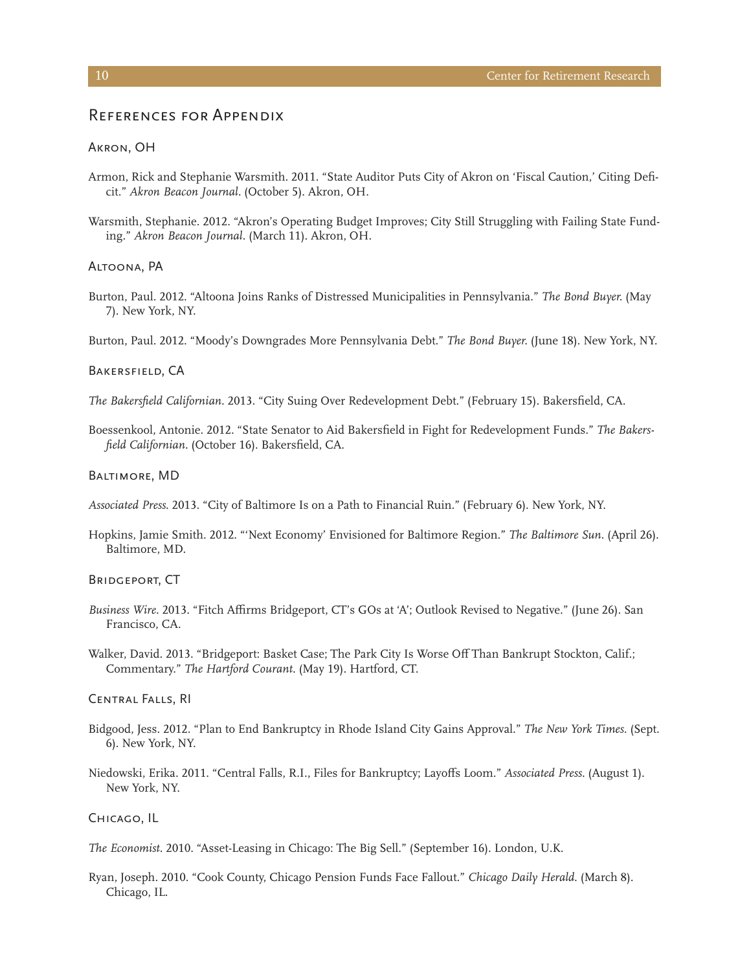# References for Appendix

#### Akron, OH

- Armon, Rick and Stephanie Warsmith. 2011. "State Auditor Puts City of Akron on 'Fiscal Caution,' Citing Deficit." *Akron Beacon Journal.* (October 5). Akron, OH.
- Warsmith, Stephanie. 2012. "Akron's Operating Budget Improves; City Still Struggling with Failing State Funding." *Akron Beacon Journal.* (March 11). Akron, OH.

#### Altoona, PA

- Burton, Paul. 2012. "Altoona Joins Ranks of Distressed Municipalities in Pennsylvania." *The Bond Buyer.* (May 7). New York, NY.
- Burton, Paul. 2012. "Moody's Downgrades More Pennsylvania Debt." *The Bond Buyer.* (June 18). New York, NY.

#### Bakersfield, CA

*The Bakersfield Californian*. 2013. "City Suing Over Redevelopment Debt." (February 15). Bakersfield, CA.

Boessenkool, Antonie. 2012. "State Senator to Aid Bakersfield in Fight for Redevelopment Funds." *The Bakersfield Californian*. (October 16). Bakersfield, CA.

#### Baltimore, MD

*Associated Press*. 2013. "City of Baltimore Is on a Path to Financial Ruin." (February 6). New York, NY.

Hopkins, Jamie Smith. 2012. "'Next Economy' Envisioned for Baltimore Region." *The Baltimore Sun*. (April 26). Baltimore, MD.

# Bridgeport, CT

- *Business Wire*. 2013. "Fitch Affirms Bridgeport, CT's GOs at 'A'; Outlook Revised to Negative." (June 26). San Francisco, CA.
- Walker, David. 2013. "Bridgeport: Basket Case; The Park City Is Worse Off Than Bankrupt Stockton, Calif.; Commentary." *The Hartford Courant*. (May 19). Hartford, CT.

# Central Falls, RI

- Bidgood, Jess. 2012. "Plan to End Bankruptcy in Rhode Island City Gains Approval." *The New York Times*. (Sept. 6). New York, NY.
- Niedowski, Erika. 2011. "Central Falls, R.I., Files for Bankruptcy; Layoffs Loom." *Associated Press*. (August 1). New York, NY.

## Chicago, IL

*The Economist*. 2010. "Asset-Leasing in Chicago: The Big Sell." (September 16). London, U.K.

Ryan, Joseph. 2010. "Cook County, Chicago Pension Funds Face Fallout." *Chicago Daily Herald*. (March 8). Chicago, IL.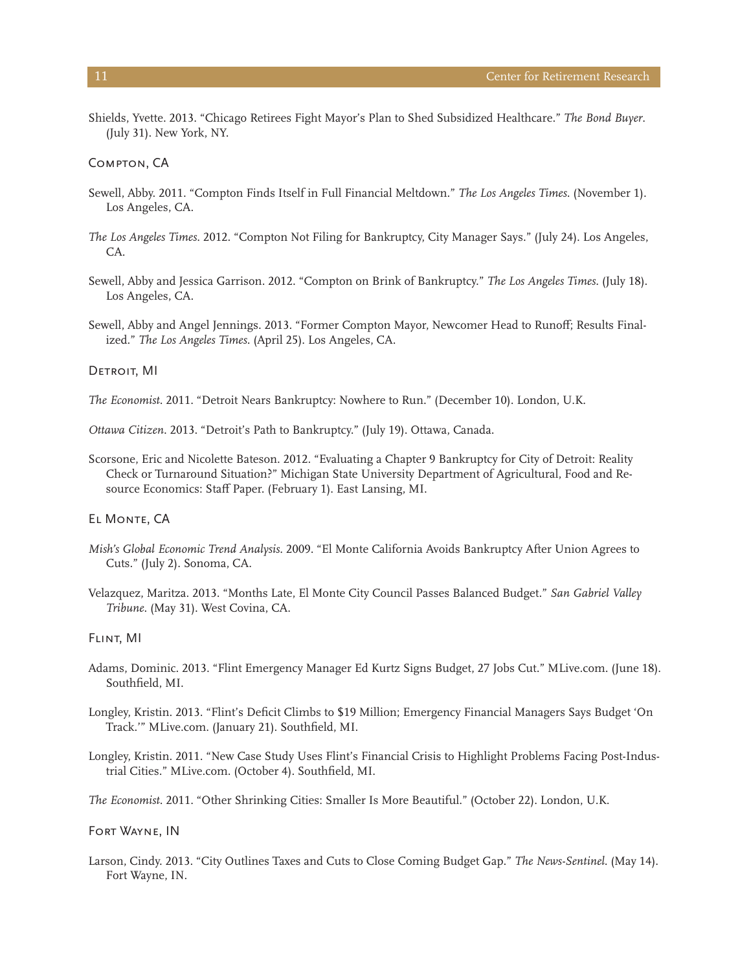Shields, Yvette. 2013. "Chicago Retirees Fight Mayor's Plan to Shed Subsidized Healthcare." *The Bond Buyer*. (July 31). New York, NY.

Compton, CA

- Sewell, Abby. 2011. "Compton Finds Itself in Full Financial Meltdown." *The Los Angeles Times*. (November 1). Los Angeles, CA.
- *The Los Angeles Times*. 2012. "Compton Not Filing for Bankruptcy, City Manager Says." (July 24). Los Angeles, CA.
- Sewell, Abby and Jessica Garrison. 2012. "Compton on Brink of Bankruptcy." *The Los Angeles Times*. (July 18). Los Angeles, CA.
- Sewell, Abby and Angel Jennings. 2013. "Former Compton Mayor, Newcomer Head to Runoff; Results Finalized." *The Los Angeles Times*. (April 25). Los Angeles, CA.

#### DETROIT, MI

*The Economist*. 2011. "Detroit Nears Bankruptcy: Nowhere to Run." (December 10). London, U.K.

*Ottawa Citizen*. 2013. "Detroit's Path to Bankruptcy." (July 19). Ottawa, Canada.

Scorsone, Eric and Nicolette Bateson. 2012. "Evaluating a Chapter 9 Bankruptcy for City of Detroit: Reality Check or Turnaround Situation?" Michigan State University Department of Agricultural, Food and Resource Economics: Staff Paper. (February 1). East Lansing, MI.

# EL MONTE, CA

- *Mish's Global Economic Trend Analysis*. 2009. "El Monte California Avoids Bankruptcy After Union Agrees to Cuts." (July 2). Sonoma, CA.
- Velazquez, Maritza. 2013. "Months Late, El Monte City Council Passes Balanced Budget." *San Gabriel Valley Tribune*. (May 31). West Covina, CA.

#### Flint, MI

- Adams, Dominic. 2013. "Flint Emergency Manager Ed Kurtz Signs Budget, 27 Jobs Cut." MLive.com. (June 18). Southfield, MI.
- Longley, Kristin. 2013. "Flint's Deficit Climbs to \$19 Million; Emergency Financial Managers Says Budget 'On Track.'" MLive.com. (January 21). Southfield, MI.
- Longley, Kristin. 2011. "New Case Study Uses Flint's Financial Crisis to Highlight Problems Facing Post-Industrial Cities." MLive.com. (October 4). Southfield, MI.

*The Economist*. 2011. "Other Shrinking Cities: Smaller Is More Beautiful." (October 22). London, U.K.

### Fort Wayne, IN

Larson, Cindy. 2013. "City Outlines Taxes and Cuts to Close Coming Budget Gap." *The News-Sentinel*. (May 14). Fort Wayne, IN.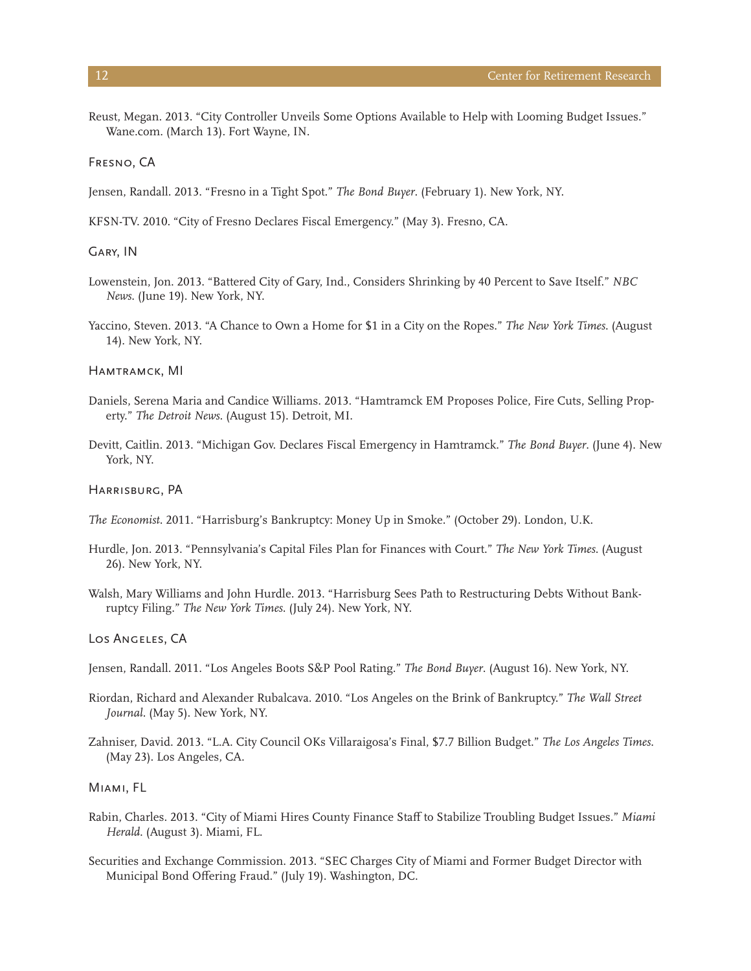Reust, Megan. 2013. "City Controller Unveils Some Options Available to Help with Looming Budget Issues." Wane.com. (March 13). Fort Wayne, IN.

# Fresno, CA

Jensen, Randall. 2013. "Fresno in a Tight Spot." *The Bond Buyer*. (February 1). New York, NY.

KFSN-TV. 2010. "City of Fresno Declares Fiscal Emergency." (May 3). Fresno, CA.

#### Gary, IN

- Lowenstein, Jon. 2013. "Battered City of Gary, Ind., Considers Shrinking by 40 Percent to Save Itself." *NBC News*. (June 19). New York, NY.
- Yaccino, Steven. 2013. "A Chance to Own a Home for \$1 in a City on the Ropes." *The New York Times*. (August 14). New York, NY.

#### Hamtramck, MI

- Daniels, Serena Maria and Candice Williams. 2013. "Hamtramck EM Proposes Police, Fire Cuts, Selling Property." *The Detroit News*. (August 15). Detroit, MI.
- Devitt, Caitlin. 2013. "Michigan Gov. Declares Fiscal Emergency in Hamtramck." *The Bond Buyer*. (June 4). New York, NY.

#### Harrisburg, PA

- *The Economist*. 2011. "Harrisburg's Bankruptcy: Money Up in Smoke." (October 29). London, U.K.
- Hurdle, Jon. 2013. "Pennsylvania's Capital Files Plan for Finances with Court." *The New York Times*. (August 26). New York, NY.
- Walsh, Mary Williams and John Hurdle. 2013. "Harrisburg Sees Path to Restructuring Debts Without Bankruptcy Filing." *The New York Times*. (July 24). New York, NY.

#### Los Angeles, CA

- Jensen, Randall. 2011. "Los Angeles Boots S&P Pool Rating." *The Bond Buyer*. (August 16). New York, NY.
- Riordan, Richard and Alexander Rubalcava. 2010. "Los Angeles on the Brink of Bankruptcy." *The Wall Street Journal.* (May 5). New York, NY.
- Zahniser, David. 2013. "L.A. City Council OKs Villaraigosa's Final, \$7.7 Billion Budget." *The Los Angeles Times*. (May 23). Los Angeles, CA.

# Miami, FL

- Rabin, Charles. 2013. "City of Miami Hires County Finance Staff to Stabilize Troubling Budget Issues." *Miami Herald*. (August 3). Miami, FL.
- Securities and Exchange Commission. 2013. "SEC Charges City of Miami and Former Budget Director with Municipal Bond Offering Fraud." (July 19). Washington, DC.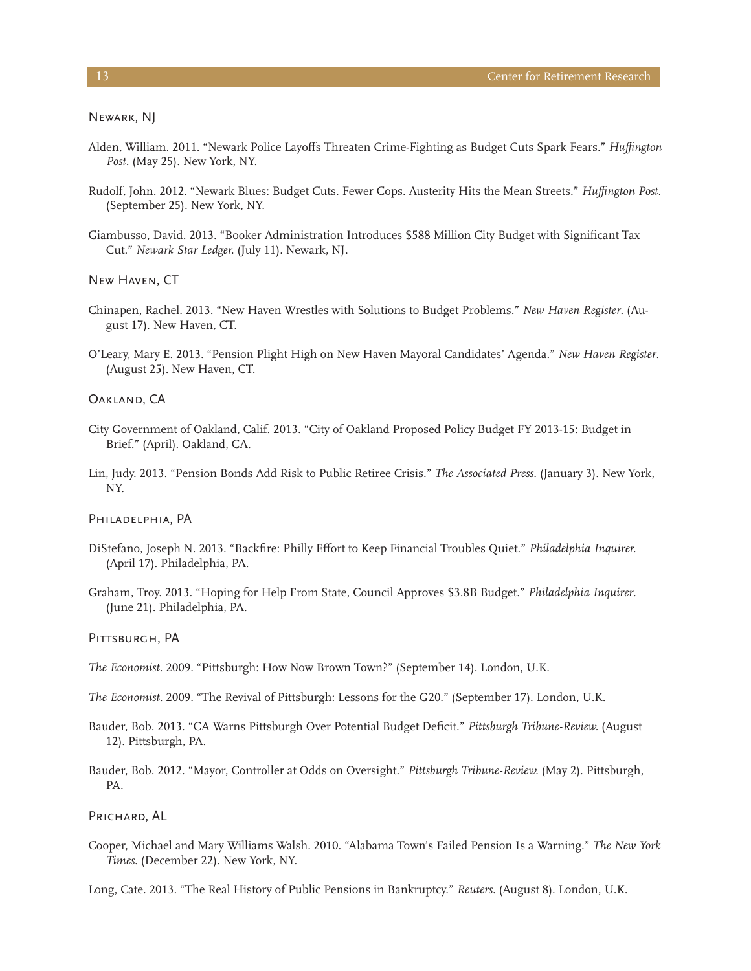Newark, NJ

- Alden, William. 2011. "Newark Police Layoffs Threaten Crime-Fighting as Budget Cuts Spark Fears." *Huffington Post*. (May 25). New York, NY.
- Rudolf, John. 2012. "Newark Blues: Budget Cuts. Fewer Cops. Austerity Hits the Mean Streets." *Huffington Post*. (September 25). New York, NY.
- Giambusso, David. 2013. "Booker Administration Introduces \$588 Million City Budget with Significant Tax Cut." *Newark Star Ledger.* (July 11). Newark, NJ.

New Haven, CT

- Chinapen, Rachel. 2013. "New Haven Wrestles with Solutions to Budget Problems." *New Haven Register*. (August 17). New Haven, CT.
- O'Leary, Mary E. 2013. "Pension Plight High on New Haven Mayoral Candidates' Agenda." *New Haven Register*. (August 25). New Haven, CT.

## Oakland, CA

- City Government of Oakland, Calif. 2013. "City of Oakland Proposed Policy Budget FY 2013-15: Budget in Brief." (April). Oakland, CA.
- Lin, Judy. 2013. "Pension Bonds Add Risk to Public Retiree Crisis." *The Associated Press*. (January 3). New York, NY.

#### PHILADELPHIA, PA

- DiStefano, Joseph N. 2013. "Backfire: Philly Effort to Keep Financial Troubles Quiet." *Philadelphia Inquirer.*  (April 17). Philadelphia, PA.
- Graham, Troy. 2013. "Hoping for Help From State, Council Approves \$3.8B Budget." *Philadelphia Inquirer*. (June 21). Philadelphia, PA.

PITTSBURGH, PA

- *The Economist*. 2009. "Pittsburgh: How Now Brown Town?" (September 14). London, U.K.
- *The Economist.* 2009. "The Revival of Pittsburgh: Lessons for the G20." (September 17). London, U.K.
- Bauder, Bob. 2013. "CA Warns Pittsburgh Over Potential Budget Deficit." *Pittsburgh Tribune-Review.* (August 12). Pittsburgh, PA.
- Bauder, Bob. 2012. "Mayor, Controller at Odds on Oversight." *Pittsburgh Tribune-Review.* (May 2). Pittsburgh, PA.

# PRICHARD, AL

Cooper, Michael and Mary Williams Walsh. 2010. "Alabama Town's Failed Pension Is a Warning." *The New York Times*. (December 22). New York, NY.

Long, Cate. 2013. "The Real History of Public Pensions in Bankruptcy." *Reuters*. (August 8). London, U.K.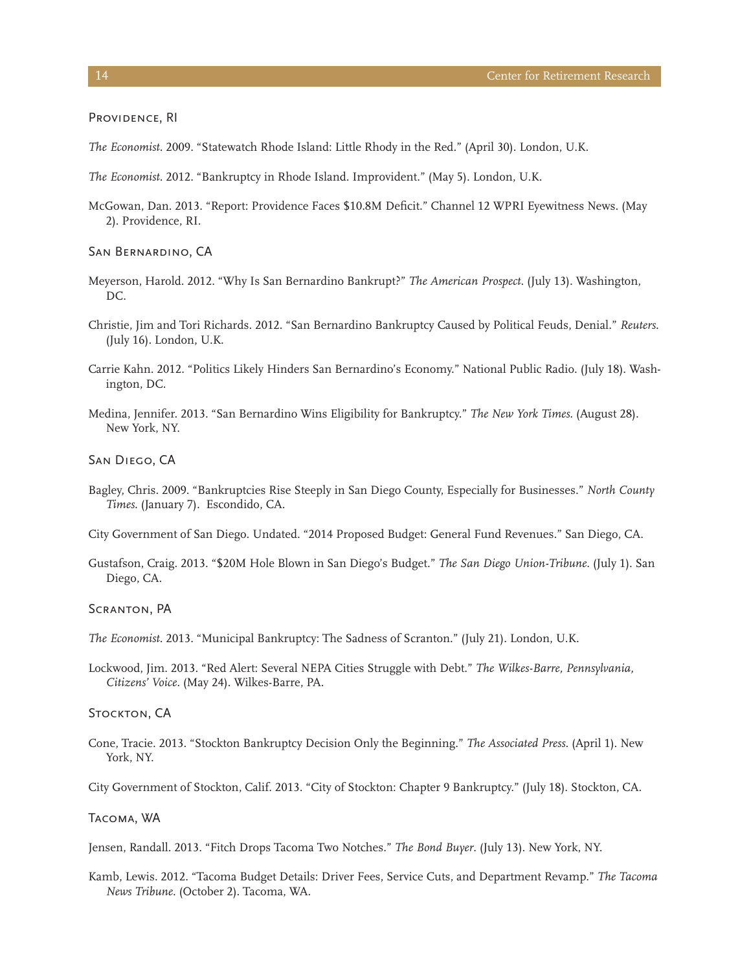PROVIDENCE, RI

- *The Economist*. 2009. "Statewatch Rhode Island: Little Rhody in the Red." (April 30). London, U.K.
- *The Economist*. 2012. "Bankruptcy in Rhode Island. Improvident." (May 5). London, U.K.
- McGowan, Dan. 2013. "Report: Providence Faces \$10.8M Deficit." Channel 12 WPRI Eyewitness News. (May 2). Providence, RI.

#### San Bernardino, CA

- Meyerson, Harold. 2012. "Why Is San Bernardino Bankrupt?" *The American Prospect*. (July 13). Washington, DC.
- Christie, Jim and Tori Richards. 2012. "San Bernardino Bankruptcy Caused by Political Feuds, Denial." *Reuters*. (July 16). London, U.K.
- Carrie Kahn. 2012. "Politics Likely Hinders San Bernardino's Economy." National Public Radio. (July 18). Washington, DC.
- Medina, Jennifer. 2013. "San Bernardino Wins Eligibility for Bankruptcy." *The New York Times*. (August 28). New York, NY.

San Diego, CA

- Bagley, Chris. 2009. "Bankruptcies Rise Steeply in San Diego County, Especially for Businesses." *North County Times*. (January 7). Escondido, CA.
- City Government of San Diego. Undated. "2014 Proposed Budget: General Fund Revenues." San Diego, CA.
- Gustafson, Craig. 2013. "\$20M Hole Blown in San Diego's Budget." *The San Diego Union-Tribune*. (July 1). San Diego, CA.

Scranton, PA

*The Economist*. 2013. "Municipal Bankruptcy: The Sadness of Scranton." (July 21). London, U.K.

Lockwood, Jim. 2013. "Red Alert: Several NEPA Cities Struggle with Debt." *The Wilkes-Barre, Pennsylvania, Citizens' Voice.* (May 24). Wilkes-Barre, PA.

# STOCKTON, CA

Cone, Tracie. 2013. "Stockton Bankruptcy Decision Only the Beginning." *The Associated Press*. (April 1). New York, NY.

City Government of Stockton, Calif. 2013. "City of Stockton: Chapter 9 Bankruptcy." (July 18). Stockton, CA.

## Tacoma, WA

Jensen, Randall. 2013. "Fitch Drops Tacoma Two Notches." *The Bond Buyer*. (July 13). New York, NY.

Kamb, Lewis. 2012. "Tacoma Budget Details: Driver Fees, Service Cuts, and Department Revamp." *The Tacoma News Tribune*. (October 2). Tacoma, WA.